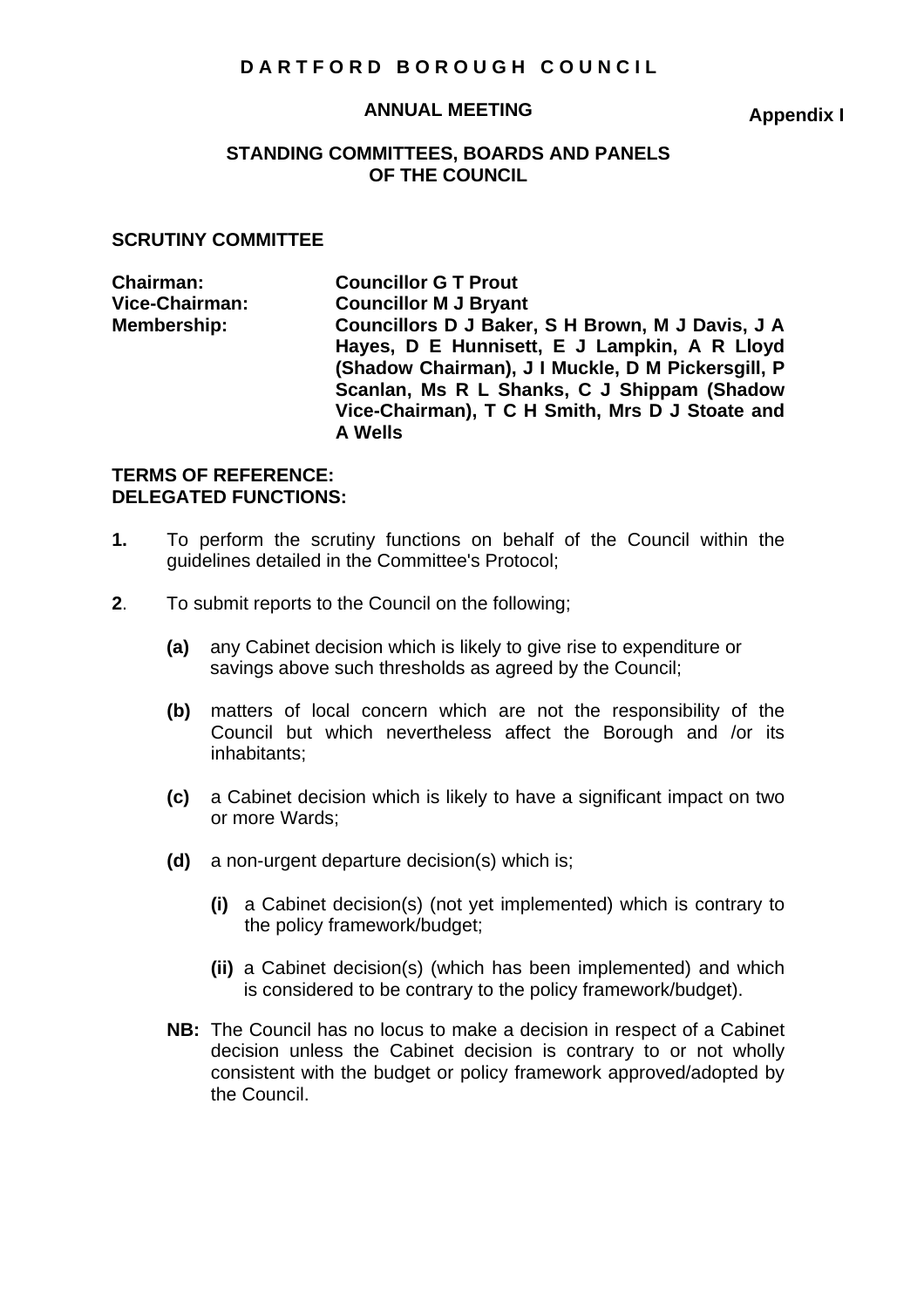# **DARTFORD BOROUGH COUNCIL**

#### **ANNUAL MEETING**

**Appendix I** 

## **STANDING COMMITTEES, BOARDS AND PANELS OF THE COUNCIL**

#### **SCRUTINY COMMITTEE**

| <b>Councillor G T Prout</b>                                       |
|-------------------------------------------------------------------|
| <b>Councillor M J Bryant</b>                                      |
| Councillors D J Baker, S H Brown, M J Davis, J A                  |
| Hayes, D E Hunnisett, E J Lampkin, A R Lloyd                      |
| (Shadow Chairman), J I Muckle, D M Pickersgill, P                 |
| Scanlan, Ms R L Shanks, C J Shippam (Shadow                       |
| Vice-Chairman), T C H Smith, Mrs D J Stoate and<br><b>A Wells</b> |
|                                                                   |

### **TERMS OF REFERENCE: DELEGATED FUNCTIONS:**

- **1.** To perform the scrutiny functions on behalf of the Council within the guidelines detailed in the Committee's Protocol;
- **2**. To submit reports to the Council on the following;
	- **(a)** any Cabinet decision which is likely to give rise to expenditure or savings above such thresholds as agreed by the Council;
	- **(b)** matters of local concern which are not the responsibility of the Council but which nevertheless affect the Borough and /or its inhabitants;
	- **(c)** a Cabinet decision which is likely to have a significant impact on two or more Wards;
	- **(d)** a non-urgent departure decision(s) which is;
		- **(i)** a Cabinet decision(s) (not yet implemented) which is contrary to the policy framework/budget;
		- **(ii)** a Cabinet decision(s) (which has been implemented) and which is considered to be contrary to the policy framework/budget).
	- **NB:** The Council has no locus to make a decision in respect of a Cabinet decision unless the Cabinet decision is contrary to or not wholly consistent with the budget or policy framework approved/adopted by the Council.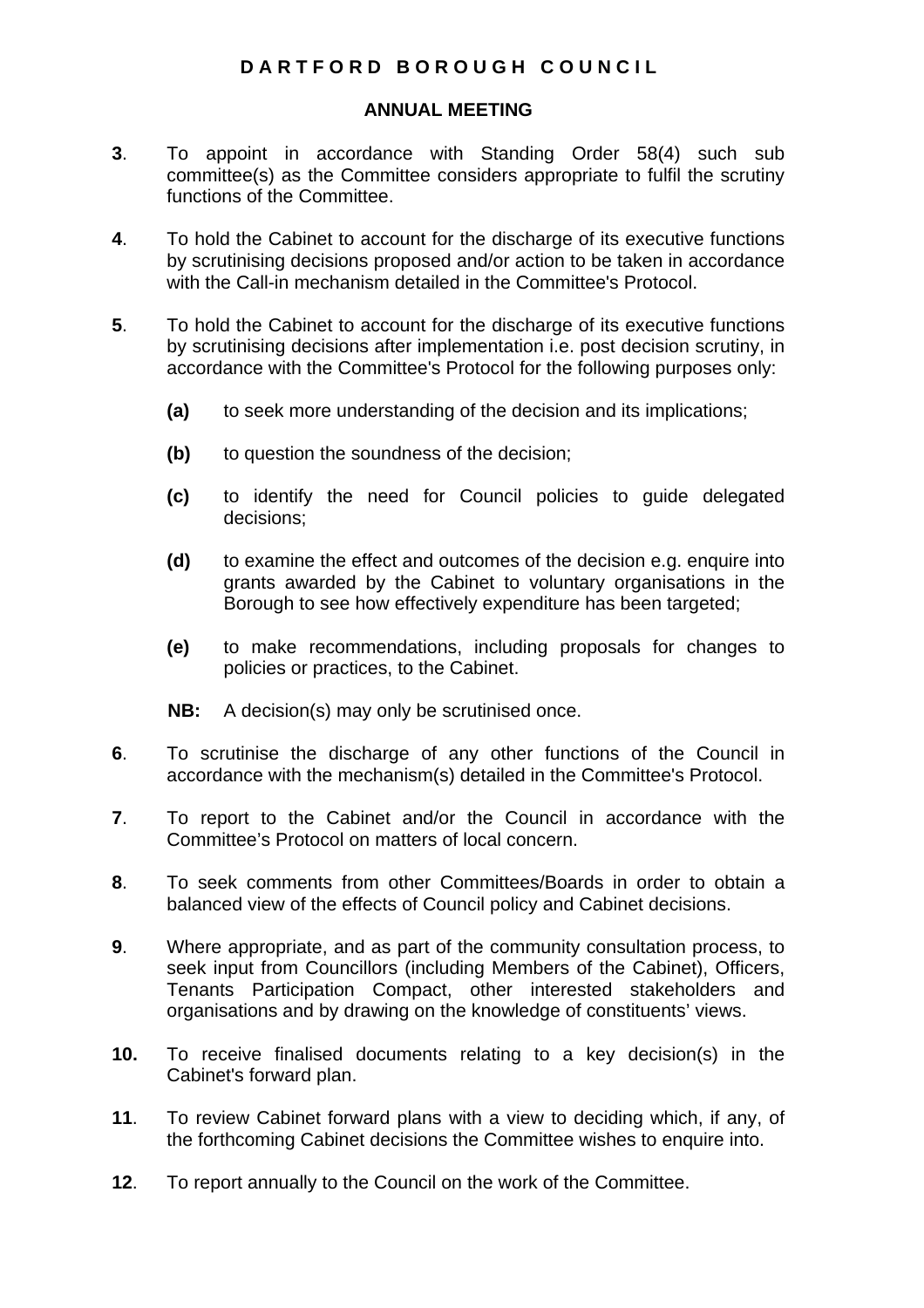# **DARTFORD BOROUGH COUNCIL**

## **ANNUAL MEETING**

- **3**. To appoint in accordance with Standing Order 58(4) such sub committee(s) as the Committee considers appropriate to fulfil the scrutiny functions of the Committee.
- **4**. To hold the Cabinet to account for the discharge of its executive functions by scrutinising decisions proposed and/or action to be taken in accordance with the Call-in mechanism detailed in the Committee's Protocol.
- **5**. To hold the Cabinet to account for the discharge of its executive functions by scrutinising decisions after implementation i.e. post decision scrutiny, in accordance with the Committee's Protocol for the following purposes only:
	- **(a)** to seek more understanding of the decision and its implications;
	- **(b)** to question the soundness of the decision;
	- **(c)** to identify the need for Council policies to guide delegated decisions;
	- **(d)** to examine the effect and outcomes of the decision e.g. enquire into grants awarded by the Cabinet to voluntary organisations in the Borough to see how effectively expenditure has been targeted;
	- **(e)** to make recommendations, including proposals for changes to policies or practices, to the Cabinet.

**NB:** A decision(s) may only be scrutinised once.

- **6**. To scrutinise the discharge of any other functions of the Council in accordance with the mechanism(s) detailed in the Committee's Protocol.
- **7**. To report to the Cabinet and/or the Council in accordance with the Committee's Protocol on matters of local concern.
- **8**. To seek comments from other Committees/Boards in order to obtain a balanced view of the effects of Council policy and Cabinet decisions.
- **9**. Where appropriate, and as part of the community consultation process, to seek input from Councillors (including Members of the Cabinet), Officers, Tenants Participation Compact, other interested stakeholders and organisations and by drawing on the knowledge of constituents' views.
- **10.** To receive finalised documents relating to a key decision(s) in the Cabinet's forward plan.
- **11**. To review Cabinet forward plans with a view to deciding which, if any, of the forthcoming Cabinet decisions the Committee wishes to enquire into.
- **12**. To report annually to the Council on the work of the Committee.